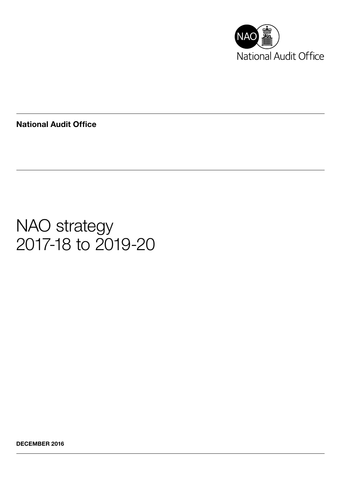

National Audit Office

# NAO strategy 2017-18 to 2019-20

DECEMBER 2016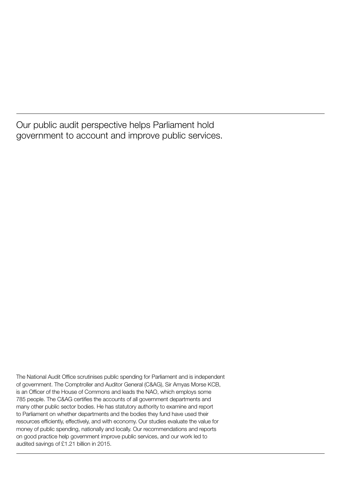Our public audit perspective helps Parliament hold government to account and improve public services.

The National Audit Office scrutinises public spending for Parliament and is independent of government. The Comptroller and Auditor General (C&AG), Sir Amyas Morse KCB, is an Officer of the House of Commons and leads the NAO, which employs some 785 people. The C&AG certifies the accounts of all government departments and many other public sector bodies. He has statutory authority to examine and report to Parliament on whether departments and the bodies they fund have used their resources efficiently, effectively, and with economy. Our studies evaluate the value for money of public spending, nationally and locally. Our recommendations and reports on good practice help government improve public services, and our work led to audited savings of £1.21 billion in 2015.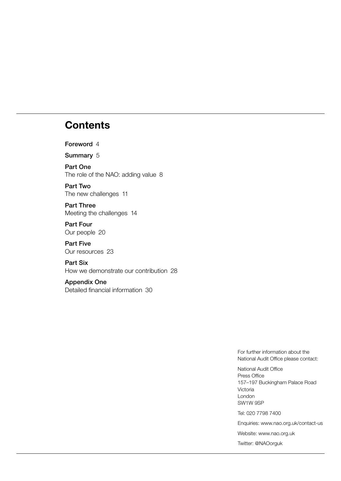## **Contents**

[Foreword](#page-3-0) 4

[Summary](#page-4-0) 5

[Part One](#page-6-0) [The role of the NAO: adding value](#page-6-0) 8

[Part Two](#page-9-0) [The new challenges](#page-9-0) 11

[Part Three](#page-12-0) [Meeting the challenges](#page-12-0) 14

[Part Four](#page-18-0) [Our people](#page-18-0) 20

[Part Five](#page-21-0) [Our resources](#page-21-0) 23

[Part Six](#page-27-0) [How we demonstrate our contribution](#page-27-0) 28

#### [Appendix One](#page-29-0)

[Detailed financial information](#page-29-0) 30

For further information about the National Audit Office please contact:

National Audit Office Press Office 157–197 Buckingham Palace Road Victoria London SW1W 9SP

Tel: 020 7798 7400

Enquiries: www.nao.org.uk/contact-us

Website: www.nao.org.uk

Twitter: @NAOorguk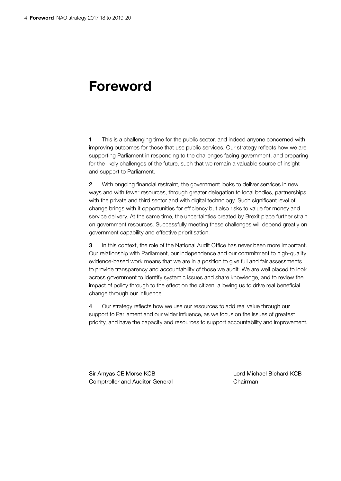## <span id="page-3-0"></span>Foreword

1 This is a challenging time for the public sector, and indeed anyone concerned with improving outcomes for those that use public services. Our strategy reflects how we are supporting Parliament in responding to the challenges facing government, and preparing for the likely challenges of the future, such that we remain a valuable source of insight and support to Parliament.

2 With ongoing financial restraint, the government looks to deliver services in new ways and with fewer resources, through greater delegation to local bodies, partnerships with the private and third sector and with digital technology. Such significant level of change brings with it opportunities for efficiency but also risks to value for money and service delivery. At the same time, the uncertainties created by Brexit place further strain on government resources. Successfully meeting these challenges will depend greatly on government capability and effective prioritisation.

3 In this context, the role of the National Audit Office has never been more important. Our relationship with Parliament, our independence and our commitment to high-quality evidence-based work means that we are in a position to give full and fair assessments to provide transparency and accountability of those we audit. We are well placed to look across government to identify systemic issues and share knowledge, and to review the impact of policy through to the effect on the citizen, allowing us to drive real beneficial change through our influence.

4 Our strategy reflects how we use our resources to add real value through our support to Parliament and our wider influence, as we focus on the issues of greatest priority, and have the capacity and resources to support accountability and improvement.

Sir Amyas CE Morse KCB Lord Michael Bichard KCB Comptroller and Auditor General Chairman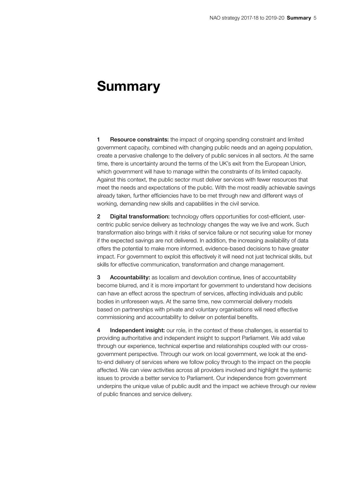## <span id="page-4-0"></span>Summary

**1** Resource constraints: the impact of ongoing spending constraint and limited government capacity, combined with changing public needs and an ageing population, create a pervasive challenge to the delivery of public services in all sectors. At the same time, there is uncertainty around the terms of the UK's exit from the European Union, which government will have to manage within the constraints of its limited capacity. Against this context, the public sector must deliver services with fewer resources that meet the needs and expectations of the public. With the most readily achievable savings already taken, further efficiencies have to be met through new and different ways of working, demanding new skills and capabilities in the civil service.

2 Digital transformation: technology offers opportunities for cost-efficient, usercentric public service delivery as technology changes the way we live and work. Such transformation also brings with it risks of service failure or not securing value for money if the expected savings are not delivered. In addition, the increasing availability of data offers the potential to make more informed, evidence-based decisions to have greater impact. For government to exploit this effectively it will need not just technical skills, but skills for effective communication, transformation and change management.

3 Accountability: as localism and devolution continue, lines of accountability become blurred, and it is more important for government to understand how decisions can have an effect across the spectrum of services, affecting individuals and public bodies in unforeseen ways. At the same time, new commercial delivery models based on partnerships with private and voluntary organisations will need effective commissioning and accountability to deliver on potential benefits.

4 Independent insight: our role, in the context of these challenges, is essential to providing authoritative and independent insight to support Parliament. We add value through our experience, technical expertise and relationships coupled with our crossgovernment perspective. Through our work on local government, we look at the endto-end delivery of services where we follow policy through to the impact on the people affected. We can view activities across all providers involved and highlight the systemic issues to provide a better service to Parliament. Our independence from government underpins the unique value of public audit and the impact we achieve through our review of public finances and service delivery.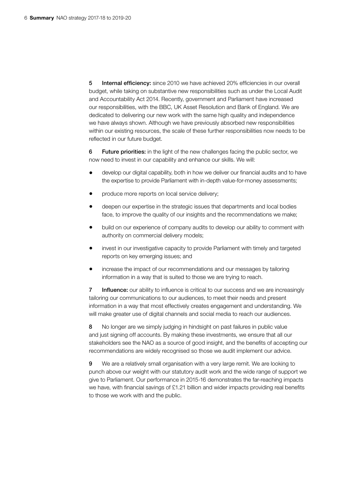5 Internal efficiency: since 2010 we have achieved 20% efficiencies in our overall budget, while taking on substantive new responsibilities such as under the Local Audit and Accountability Act 2014. Recently, government and Parliament have increased our responsibilities, with the BBC, UK Asset Resolution and Bank of England. We are dedicated to delivering our new work with the same high quality and independence we have always shown. Although we have previously absorbed new responsibilities within our existing resources, the scale of these further responsibilities now needs to be reflected in our future budget.

6 Future priorities: in the light of the new challenges facing the public sector, we now need to invest in our capability and enhance our skills. We will:

- develop our digital capability, both in how we deliver our financial audits and to have the expertise to provide Parliament with in-depth value-for-money assessments;
- produce more reports on local service delivery;
- deepen our expertise in the strategic issues that departments and local bodies face, to improve the quality of our insights and the recommendations we make;
- build on our experience of company audits to develop our ability to comment with authority on commercial delivery models;
- invest in our investigative capacity to provide Parliament with timely and targeted reports on key emerging issues; and
- increase the impact of our recommendations and our messages by tailoring information in a way that is suited to those we are trying to reach.

7 Influence: our ability to influence is critical to our success and we are increasingly tailoring our communications to our audiences, to meet their needs and present information in a way that most effectively creates engagement and understanding. We will make greater use of digital channels and social media to reach our audiences.

8 No longer are we simply judging in hindsight on past failures in public value and just signing off accounts. By making these investments, we ensure that all our stakeholders see the NAO as a source of good insight, and the benefits of accepting our recommendations are widely recognised so those we audit implement our advice.

9 We are a relatively small organisation with a very large remit. We are looking to punch above our weight with our statutory audit work and the wide range of support we give to Parliament. Our performance in 2015-16 demonstrates the far-reaching impacts we have, with financial savings of £1.21 billion and wider impacts providing real benefits to those we work with and the public.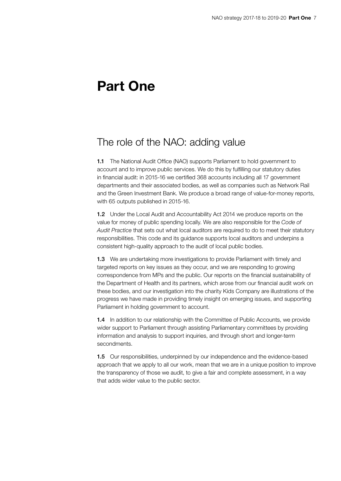## <span id="page-6-0"></span>Part One

### The role of the NAO: adding value

1.1 The National Audit Office (NAO) supports Parliament to hold government to account and to improve public services. We do this by fulfilling our statutory duties in financial audit: in 2015-16 we certified 368 accounts including all 17 government departments and their associated bodies, as well as companies such as Network Rail and the Green Investment Bank. We produce a broad range of value-for-money reports, with 65 outputs published in 2015-16.

1.2 Under the Local Audit and Accountability Act 2014 we produce reports on the value for money of public spending locally. We are also responsible for the *Code of Audit Practice* that sets out what local auditors are required to do to meet their statutory responsibilities. This code and its guidance supports local auditors and underpins a consistent high-quality approach to the audit of local public bodies.

1.3 We are undertaking more investigations to provide Parliament with timely and targeted reports on key issues as they occur, and we are responding to growing correspondence from MPs and the public. Our reports on the financial sustainability of the Department of Health and its partners, which arose from our financial audit work on these bodies, and our investigation into the charity Kids Company are illustrations of the progress we have made in providing timely insight on emerging issues, and supporting Parliament in holding government to account.

**1.4** In addition to our relationship with the Committee of Public Accounts, we provide wider support to Parliament through assisting Parliamentary committees by providing information and analysis to support inquiries, and through short and longer-term secondments.

1.5 Our responsibilities, underpinned by our independence and the evidence-based approach that we apply to all our work, mean that we are in a unique position to improve the transparency of those we audit, to give a fair and complete assessment, in a way that adds wider value to the public sector.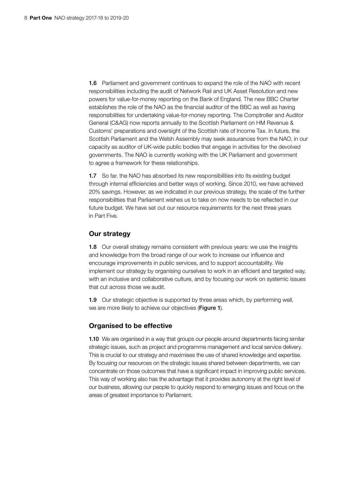1.6 Parliament and government continues to expand the role of the NAO with recent responsibilities including the audit of Network Rail and UK Asset Resolution and new powers for value-for-money reporting on the Bank of England. The new BBC Charter establishes the role of the NAO as the financial auditor of the BBC as well as having responsibilities for undertaking value-for-money reporting. The Comptroller and Auditor General (C&AG) now reports annually to the Scottish Parliament on HM Revenue & Customs' preparations and oversight of the Scottish rate of Income Tax. In future, the Scottish Parliament and the Welsh Assembly may seek assurances from the NAO, in our capacity as auditor of UK-wide public bodies that engage in activities for the devolved governments. The NAO is currently working with the UK Parliament and government to agree a framework for these relationships.

1.7 So far, the NAO has absorbed its new responsibilities into its existing budget through internal efficiencies and better ways of working. Since 2010, we have achieved 20% savings. However, as we indicated in our previous strategy, the scale of the further responsibilities that Parliament wishes us to take on now needs to be reflected in our future budget. We have set out our resource requirements for the next three years in Part Five.

#### Our strategy

1.8 Our overall strategy remains consistent with previous years: we use the insights and knowledge from the broad range of our work to increase our influence and encourage improvements in public services, and to support accountability. We implement our strategy by organising ourselves to work in an efficient and targeted way, with an inclusive and collaborative culture, and by focusing our work on systemic issues that cut across those we audit.

1.9 Our strategic objective is supported by three areas which, by performing well, we are more likely to achieve our objectives (Figure 1).

#### Organised to be effective

**1.10** We are organised in a way that groups our people around departments facing similar strategic issues, such as project and programme management and local service delivery. This is crucial to our strategy and maximises the use of shared knowledge and expertise. By focusing our resources on the strategic issues shared between departments, we can concentrate on those outcomes that have a significant impact in improving public services. This way of working also has the advantage that it provides autonomy at the right level of our business, allowing our people to quickly respond to emerging issues and focus on the areas of greatest importance to Parliament.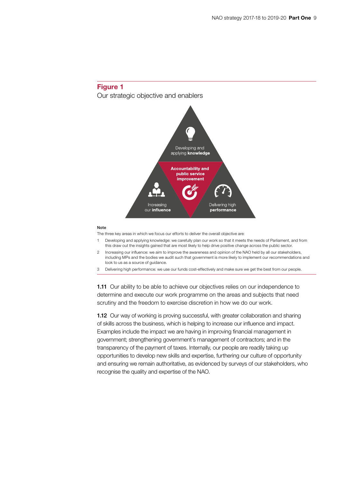



#### Note

The three key areas in which we focus our efforts to deliver the overall objective are:

- 1 Developing and applying knowledge: we carefully plan our work so that it meets the needs of Parliament, and from this draw out the insights gained that are most likely to help drive positive change across the public sector.
- 2 Increasing our influence: we aim to improve the awareness and opinion of the NAO held by all our stakeholders, including MPs and the bodies we audit such that government is more likely to implement our recommendations and look to us as a source of guidance.
- 3 Delivering high performance: we use our funds cost-effectively and make sure we get the best from our people.

**1.11** Our ability to be able to achieve our objectives relies on our independence to determine and execute our work programme on the areas and subjects that need scrutiny and the freedom to exercise discretion in how we do our work.

**1.12** Our way of working is proving successful, with greater collaboration and sharing of skills across the business, which is helping to increase our influence and impact. Examples include the impact we are having in improving financial management in government; strengthening government's management of contractors; and in the transparency of the payment of taxes. Internally, our people are readily taking up opportunities to develop new skills and expertise, furthering our culture of opportunity and ensuring we remain authoritative, as evidenced by surveys of our stakeholders, who recognise the quality and expertise of the NAO.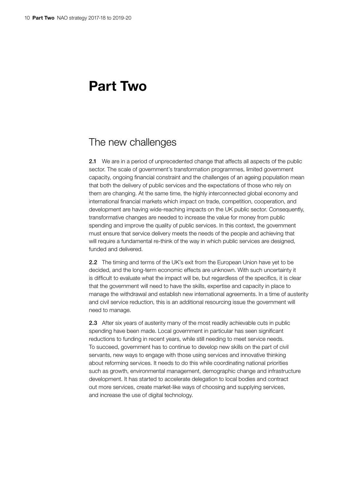## <span id="page-9-0"></span>Part Two

### The new challenges

2.1 We are in a period of unprecedented change that affects all aspects of the public sector. The scale of government's transformation programmes, limited government capacity, ongoing financial constraint and the challenges of an ageing population mean that both the delivery of public services and the expectations of those who rely on them are changing. At the same time, the highly interconnected global economy and international financial markets which impact on trade, competition, cooperation, and development are having wide-reaching impacts on the UK public sector. Consequently, transformative changes are needed to increase the value for money from public spending and improve the quality of public services. In this context, the government must ensure that service delivery meets the needs of the people and achieving that will require a fundamental re-think of the way in which public services are designed, funded and delivered.

2.2 The timing and terms of the UK's exit from the European Union have yet to be decided, and the long-term economic effects are unknown. With such uncertainty it is difficult to evaluate what the impact will be, but regardless of the specifics, it is clear that the government will need to have the skills, expertise and capacity in place to manage the withdrawal and establish new international agreements. In a time of austerity and civil service reduction, this is an additional resourcing issue the government will need to manage.

2.3 After six years of austerity many of the most readily achievable cuts in public spending have been made. Local government in particular has seen significant reductions to funding in recent years, while still needing to meet service needs. To succeed, government has to continue to develop new skills on the part of civil servants, new ways to engage with those using services and innovative thinking about reforming services. It needs to do this while coordinating national priorities such as growth, environmental management, demographic change and infrastructure development. It has started to accelerate delegation to local bodies and contract out more services, create market-like ways of choosing and supplying services, and increase the use of digital technology.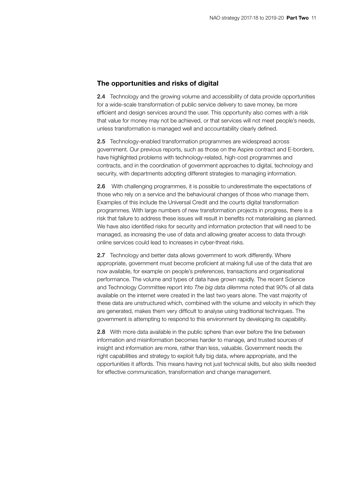#### The opportunities and risks of digital

2.4 Technology and the growing volume and accessibility of data provide opportunities for a wide-scale transformation of public service delivery to save money, be more efficient and design services around the user. This opportunity also comes with a risk that value for money may not be achieved, or that services will not meet people's needs, unless transformation is managed well and accountability clearly defined.

2.5 Technology-enabled transformation programmes are widespread across government. Our previous reports, such as those on the Aspire contract and E-borders, have highlighted problems with technology-related, high-cost programmes and contracts, and in the coordination of government approaches to digital, technology and security, with departments adopting different strategies to managing information.

2.6 With challenging programmes, it is possible to underestimate the expectations of those who rely on a service and the behavioural changes of those who manage them. Examples of this include the Universal Credit and the courts digital transformation programmes. With large numbers of new transformation projects in progress, there is a risk that failure to address these issues will result in benefits not materialising as planned. We have also identified risks for security and information protection that will need to be managed, as increasing the use of data and allowing greater access to data through online services could lead to increases in cyber-threat risks.

2.7 Technology and better data allows government to work differently. Where appropriate, government must become proficient at making full use of the data that are now available, for example on people's preferences, transactions and organisational performance. The volume and types of data have grown rapidly. The recent Science and Technology Committee report into *The big data dilemma* noted that 90% of all data available on the internet were created in the last two years alone. The vast majority of these data are unstructured which, combined with the volume and velocity in which they are generated, makes them very difficult to analyse using traditional techniques. The government is attempting to respond to this environment by developing its capability.

2.8 With more data available in the public sphere than ever before the line between information and misinformation becomes harder to manage, and trusted sources of insight and information are more, rather than less, valuable. Government needs the right capabilities and strategy to exploit fully big data, where appropriate, and the opportunities it affords. This means having not just technical skills, but also skills needed for effective communication, transformation and change management.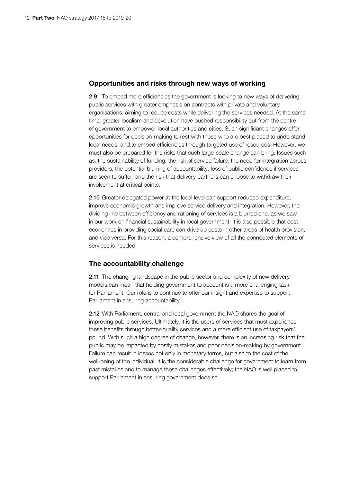#### Opportunities and risks through new ways of working

2.9 To embed more efficiencies the government is looking to new ways of delivering public services with greater emphasis on contracts with private and voluntary organisations, aiming to reduce costs while delivering the services needed. At the same time, greater localism and devolution have pushed responsibility out from the centre of government to empower local authorities and cities. Such significant changes offer opportunities for decision-making to rest with those who are best placed to understand local needs, and to embed efficiencies through targeted use of resources. However, we must also be prepared for the risks that such large-scale change can bring. Issues such as: the sustainability of funding; the risk of service failure; the need for integration across providers; the potential blurring of accountability; loss of public confidence if services are seen to suffer; and the risk that delivery partners can choose to withdraw their involvement at critical points.

2.10 Greater delegated power at the local level can support reduced expenditure, improve economic growth and improve service delivery and integration. However, the dividing line between efficiency and rationing of services is a blurred one, as we saw in our work on financial sustainability in local government. It is also possible that cost economies in providing social care can drive up costs in other areas of health provision, and vice versa. For this reason, a comprehensive view of all the connected elements of services is needed.

#### The accountability challenge

**2.11** The changing landscape in the public sector and complexity of new delivery models can mean that holding government to account is a more challenging task for Parliament. Our role is to continue to offer our insight and expertise to support Parliament in ensuring accountability.

2.12 With Parliament, central and local government the NAO shares the goal of improving public services. Ultimately, it is the users of services that must experience these benefits through better-quality services and a more efficient use of taxpayers' pound. With such a high degree of change, however, there is an increasing risk that the public may be impacted by costly mistakes and poor decision-making by government. Failure can result in losses not only in monetary terms, but also to the cost of the well-being of the individual. It is the considerable challenge for government to learn from past mistakes and to manage these challenges effectively; the NAO is well placed to support Parliament in ensuring government does so.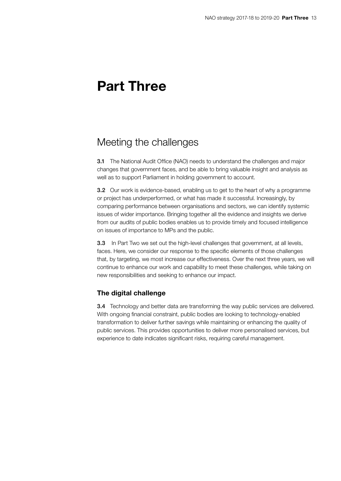## <span id="page-12-0"></span>Part Three

### Meeting the challenges

3.1 The National Audit Office (NAO) needs to understand the challenges and major changes that government faces, and be able to bring valuable insight and analysis as well as to support Parliament in holding government to account.

**3.2** Our work is evidence-based, enabling us to get to the heart of why a programme or project has underperformed, or what has made it successful. Increasingly, by comparing performance between organisations and sectors, we can identify systemic issues of wider importance. Bringing together all the evidence and insights we derive from our audits of public bodies enables us to provide timely and focused intelligence on issues of importance to MPs and the public.

**3.3** In Part Two we set out the high-level challenges that government, at all levels, faces. Here, we consider our response to the specific elements of those challenges that, by targeting, we most increase our effectiveness. Over the next three years, we will continue to enhance our work and capability to meet these challenges, while taking on new responsibilities and seeking to enhance our impact.

#### The digital challenge

3.4 Technology and better data are transforming the way public services are delivered. With ongoing financial constraint, public bodies are looking to technology-enabled transformation to deliver further savings while maintaining or enhancing the quality of public services. This provides opportunities to deliver more personalised services, but experience to date indicates significant risks, requiring careful management.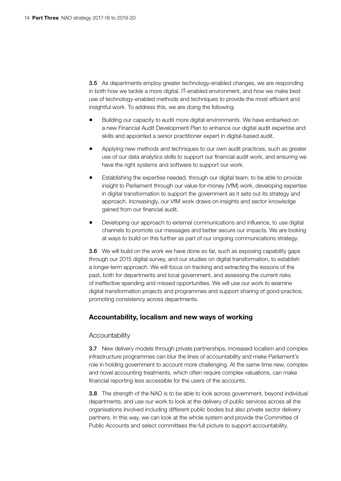3.5 As departments employ greater technology-enabled changes, we are responding in both how we tackle a more digital, IT-enabled environment, and how we make best use of technology-enabled methods and techniques to provide the most efficient and insightful work. To address this, we are doing the following:

- Building our capacity to audit more digital environments. We have embarked on a new Financial Audit Development Plan to enhance our digital audit expertise and skills and appointed a senior practitioner expert in digital-based audit.
- Applying new methods and techniques to our own audit practices, such as greater use of our data analytics skills to support our financial audit work, and ensuring we have the right systems and software to support our work.
- Establishing the expertise needed, through our digital team, to be able to provide insight to Parliament through our value-for-money (VfM) work, developing expertise in digital transformation to support the government as it sets out its strategy and approach. Increasingly, our VfM work draws on insights and sector knowledge gained from our financial audit.
- Developing our approach to external communications and influence, to use digital channels to promote our messages and better secure our impacts. We are looking at ways to build on this further as part of our ongoing communications strategy.

3.6 We will build on the work we have done so far, such as exposing capability gaps through our 2015 digital survey, and our studies on digital transformation, to establish a longer-term approach. We will focus on tracking and extracting the lessons of the past, both for departments and local government, and assessing the current risks of ineffective spending and missed opportunities. We will use our work to examine digital transformation projects and programmes and support sharing of good-practice, promoting consistency across departments.

#### Accountability, localism and new ways of working

#### Accountability

**3.7** New delivery models through private partnerships, increased localism and complex infrastructure programmes can blur the lines of accountability and make Parliament's role in holding government to account more challenging. At the same time new, complex and novel accounting treatments, which often require complex valuations, can make financial reporting less accessible for the users of the accounts.

**3.8** The strength of the NAO is to be able to look across government, beyond individual departments, and use our work to look at the delivery of public services across all the organisations involved including different public bodies but also private sector delivery partners. In this way, we can look at the whole system and provide the Committee of Public Accounts and select committees the full picture to support accountability.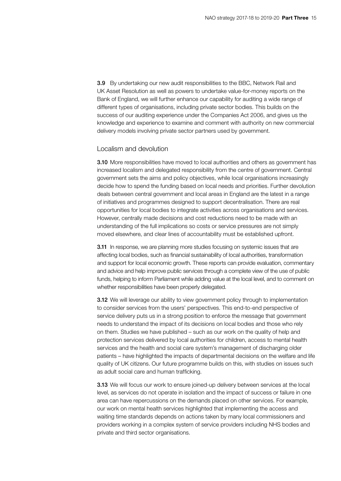3.9 By undertaking our new audit responsibilities to the BBC, Network Rail and UK Asset Resolution as well as powers to undertake value-for-money reports on the Bank of England, we will further enhance our capability for auditing a wide range of different types of organisations, including private sector bodies. This builds on the success of our auditing experience under the Companies Act 2006, and gives us the knowledge and experience to examine and comment with authority on new commercial delivery models involving private sector partners used by government.

#### Localism and devolution

3.10 More responsibilities have moved to local authorities and others as government has increased localism and delegated responsibility from the centre of government. Central government sets the aims and policy objectives, while local organisations increasingly decide how to spend the funding based on local needs and priorities. Further devolution deals between central government and local areas in England are the latest in a range of initiatives and programmes designed to support decentralisation. There are real opportunities for local bodies to integrate activities across organisations and services. However, centrally made decisions and cost reductions need to be made with an understanding of the full implications so costs or service pressures are not simply moved elsewhere, and clear lines of accountability must be established upfront.

**3.11** In response, we are planning more studies focusing on systemic issues that are affecting local bodies, such as financial sustainability of local authorities, transformation and support for local economic growth. These reports can provide evaluation, commentary and advice and help improve public services through a complete view of the use of public funds, helping to inform Parliament while adding value at the local level, and to comment on whether responsibilities have been properly delegated.

**3.12** We will leverage our ability to view government policy through to implementation to consider services from the users' perspectives. This end-to-end perspective of service delivery puts us in a strong position to enforce the message that government needs to understand the impact of its decisions on local bodies and those who rely on them. Studies we have published – such as our work on the quality of help and protection services delivered by local authorities for children, access to mental health services and the health and social care system's management of discharging older patients – have highlighted the impacts of departmental decisions on the welfare and life quality of UK citizens. Our future programme builds on this, with studies on issues such as adult social care and human trafficking.

**3.13** We will focus our work to ensure joined-up delivery between services at the local level, as services do not operate in isolation and the impact of success or failure in one area can have repercussions on the demands placed on other services. For example, our work on mental health services highlighted that implementing the access and waiting time standards depends on actions taken by many local commissioners and providers working in a complex system of service providers including NHS bodies and private and third sector organisations.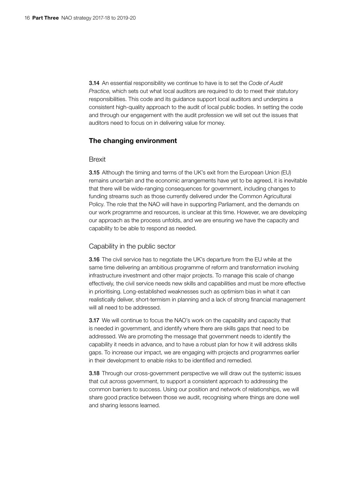3.14 An essential responsibility we continue to have is to set the *Code of Audit Practice*, which sets out what local auditors are required to do to meet their statutory responsibilities. This code and its guidance support local auditors and underpins a consistent high-quality approach to the audit of local public bodies. In setting the code and through our engagement with the audit profession we will set out the issues that auditors need to focus on in delivering value for money.

#### The changing environment

#### Brexit

**3.15** Although the timing and terms of the UK's exit from the European Union (EU) remains uncertain and the economic arrangements have yet to be agreed, it is inevitable that there will be wide-ranging consequences for government, including changes to funding streams such as those currently delivered under the Common Agricultural Policy. The role that the NAO will have in supporting Parliament, and the demands on our work programme and resources, is unclear at this time. However, we are developing our approach as the process unfolds, and we are ensuring we have the capacity and capability to be able to respond as needed.

#### Capability in the public sector

3.16 The civil service has to negotiate the UK's departure from the EU while at the same time delivering an ambitious programme of reform and transformation involving infrastructure investment and other major projects. To manage this scale of change effectively, the civil service needs new skills and capabilities and must be more effective in prioritising. Long-established weaknesses such as optimism bias in what it can realistically deliver, short-termism in planning and a lack of strong financial management will all need to be addressed.

**3.17** We will continue to focus the NAO's work on the capability and capacity that is needed in government, and identify where there are skills gaps that need to be addressed. We are promoting the message that government needs to identify the capability it needs in advance, and to have a robust plan for how it will address skills gaps. To increase our impact, we are engaging with projects and programmes earlier in their development to enable risks to be identified and remedied.

**3.18** Through our cross-government perspective we will draw out the systemic issues that cut across government, to support a consistent approach to addressing the common barriers to success. Using our position and network of relationships, we will share good practice between those we audit, recognising where things are done well and sharing lessons learned.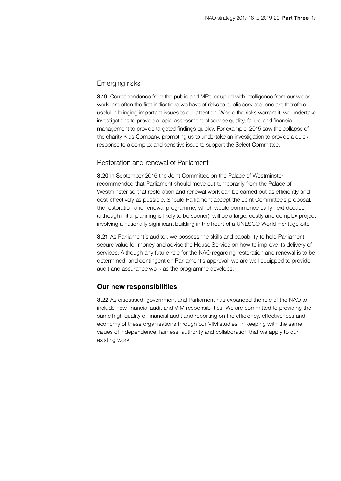#### Emerging risks

**3.19** Correspondence from the public and MPs, coupled with intelligence from our wider work, are often the first indications we have of risks to public services, and are therefore useful in bringing important issues to our attention. Where the risks warrant it, we undertake investigations to provide a rapid assessment of service quality, failure and financial management to provide targeted findings quickly. For example, 2015 saw the collapse of the charity Kids Company, prompting us to undertake an investigation to provide a quick response to a complex and sensitive issue to support the Select Committee.

#### Restoration and renewal of Parliament

3.20 In September 2016 the Joint Committee on the Palace of Westminster recommended that Parliament should move out temporarily from the Palace of Westminster so that restoration and renewal work can be carried out as efficiently and cost-effectively as possible. Should Parliament accept the Joint Committee's proposal, the restoration and renewal programme, which would commence early next decade (although initial planning is likely to be sooner), will be a large, costly and complex project involving a nationally significant building in the heart of a UNESCO World Heritage Site.

3.21 As Parliament's auditor, we possess the skills and capability to help Parliament secure value for money and advise the House Service on how to improve its delivery of services. Although any future role for the NAO regarding restoration and renewal is to be determined, and contingent on Parliament's approval, we are well equipped to provide audit and assurance work as the programme develops.

#### Our new responsibilities

3.22 As discussed, government and Parliament has expanded the role of the NAO to include new financial audit and VfM responsibilities. We are committed to providing the same high quality of financial audit and reporting on the efficiency, effectiveness and economy of these organisations through our VfM studies, in keeping with the same values of independence, fairness, authority and collaboration that we apply to our existing work.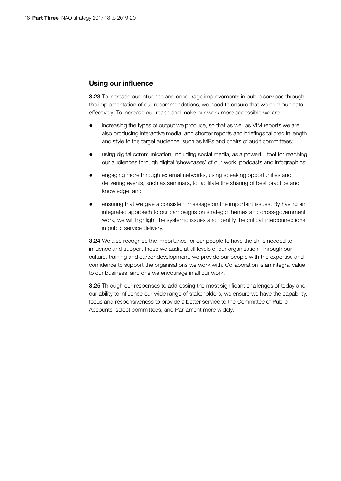#### Using our influence

3.23 To increase our influence and encourage improvements in public services through the implementation of our recommendations, we need to ensure that we communicate effectively. To increase our reach and make our work more accessible we are:

- increasing the types of output we produce, so that as well as VfM reports we are also producing interactive media, and shorter reports and briefings tailored in length and style to the target audience, such as MPs and chairs of audit committees;
- using digital communication, including social media, as a powerful tool for reaching our audiences through digital 'showcases' of our work, podcasts and infographics;
- engaging more through external networks, using speaking opportunities and delivering events, such as seminars, to facilitate the sharing of best practice and knowledge; and
- ensuring that we give a consistent message on the important issues. By having an integrated approach to our campaigns on strategic themes and cross-government work, we will highlight the systemic issues and identify the critical interconnections in public service delivery.

3.24 We also recognise the importance for our people to have the skills needed to influence and support those we audit, at all levels of our organisation. Through our culture, training and career development, we provide our people with the expertise and confidence to support the organisations we work with. Collaboration is an integral value to our business, and one we encourage in all our work.

**3.25** Through our responses to addressing the most significant challenges of today and our ability to influence our wide range of stakeholders, we ensure we have the capability, focus and responsiveness to provide a better service to the Committee of Public Accounts, select committees, and Parliament more widely.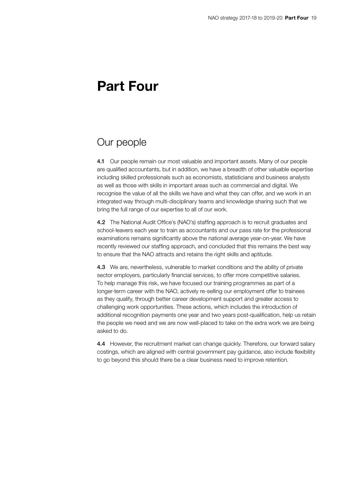## <span id="page-18-0"></span>Part Four

### Our people

4.1 Our people remain our most valuable and important assets. Many of our people are qualified accountants, but in addition, we have a breadth of other valuable expertise including skilled professionals such as economists, statisticians and business analysts as well as those with skills in important areas such as commercial and digital. We recognise the value of all the skills we have and what they can offer, and we work in an integrated way through multi-disciplinary teams and knowledge sharing such that we bring the full range of our expertise to all of our work.

4.2 The National Audit Office's (NAO's) staffing approach is to recruit graduates and school-leavers each year to train as accountants and our pass rate for the professional examinations remains significantly above the national average year-on-year. We have recently reviewed our staffing approach, and concluded that this remains the best way to ensure that the NAO attracts and retains the right skills and aptitude.

4.3 We are, nevertheless, vulnerable to market conditions and the ability of private sector employers, particularly financial services, to offer more competitive salaries. To help manage this risk, we have focused our training programmes as part of a longer-term career with the NAO, actively re-selling our employment offer to trainees as they qualify, through better career development support and greater access to challenging work opportunities. These actions, which includes the introduction of additional recognition payments one year and two years post-qualification, help us retain the people we need and we are now well-placed to take on the extra work we are being asked to do.

4.4 However, the recruitment market can change quickly. Therefore, our forward salary costings, which are aligned with central government pay guidance, also include flexibility to go beyond this should there be a clear business need to improve retention.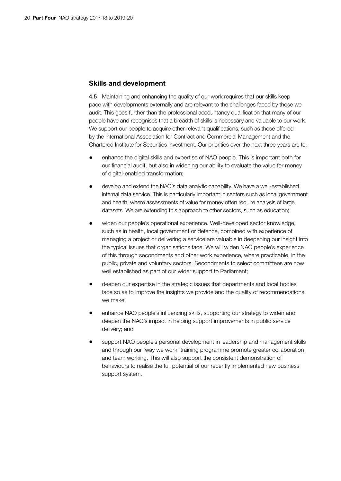#### Skills and development

4.5 Maintaining and enhancing the quality of our work requires that our skills keep pace with developments externally and are relevant to the challenges faced by those we audit. This goes further than the professional accountancy qualification that many of our people have and recognises that a breadth of skills is necessary and valuable to our work. We support our people to acquire other relevant qualifications, such as those offered by the International Association for Contract and Commercial Management and the Chartered Institute for Securities Investment. Our priorities over the next three years are to:

- enhance the digital skills and expertise of NAO people. This is important both for our financial audit, but also in widening our ability to evaluate the value for money of digital-enabled transformation;
- develop and extend the NAO's data analytic capability. We have a well-established internal data service. This is particularly important in sectors such as local government and health, where assessments of value for money often require analysis of large datasets. We are extending this approach to other sectors, such as education;
- widen our people's operational experience. Well-developed sector knowledge, such as in health, local government or defence, combined with experience of managing a project or delivering a service are valuable in deepening our insight into the typical issues that organisations face. We will widen NAO people's experience of this through secondments and other work experience, where practicable, in the public, private and voluntary sectors. Secondments to select committees are now well established as part of our wider support to Parliament;
- deepen our expertise in the strategic issues that departments and local bodies face so as to improve the insights we provide and the quality of recommendations we make;
- enhance NAO people's influencing skills, supporting our strategy to widen and deepen the NAO's impact in helping support improvements in public service delivery; and
- support NAO people's personal development in leadership and management skills and through our 'way we work' training programme promote greater collaboration and team working. This will also support the consistent demonstration of behaviours to realise the full potential of our recently implemented new business support system.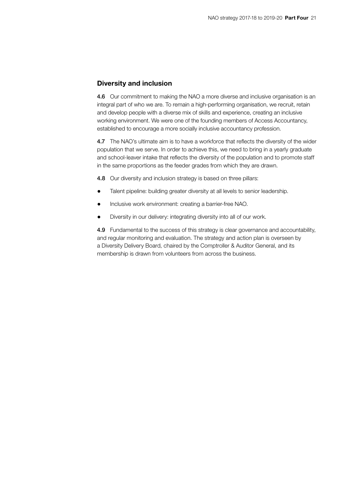#### Diversity and inclusion

4.6 Our commitment to making the NAO a more diverse and inclusive organisation is an integral part of who we are. To remain a high-performing organisation, we recruit, retain and develop people with a diverse mix of skills and experience, creating an inclusive working environment. We were one of the founding members of Access Accountancy, established to encourage a more socially inclusive accountancy profession.

4.7 The NAO's ultimate aim is to have a workforce that reflects the diversity of the wider population that we serve. In order to achieve this, we need to bring in a yearly graduate and school-leaver intake that reflects the diversity of the population and to promote staff in the same proportions as the feeder grades from which they are drawn.

4.8 Our diversity and inclusion strategy is based on three pillars:

- Talent pipeline: building greater diversity at all levels to senior leadership.
- Inclusive work environment: creating a barrier-free NAO.
- Diversity in our delivery: integrating diversity into all of our work.

4.9 Fundamental to the success of this strategy is clear governance and accountability, and regular monitoring and evaluation. The strategy and action plan is overseen by a Diversity Delivery Board, chaired by the Comptroller & Auditor General, and its membership is drawn from volunteers from across the business.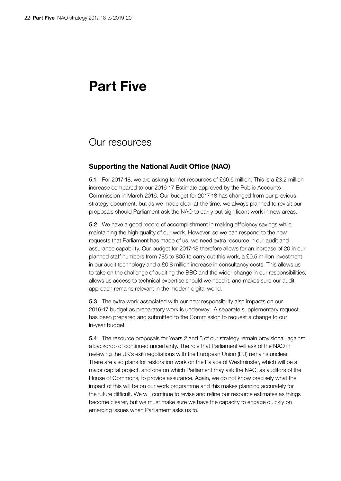## <span id="page-21-0"></span>Part Five

### Our resources

#### Supporting the National Audit Office (NAO)

5.1 For 2017-18, we are asking for net resources of £66.6 million. This is a £3.2 million increase compared to our 2016-17 Estimate approved by the Public Accounts Commission in March 2016. Our budget for 2017-18 has changed from our previous strategy document, but as we made clear at the time, we always planned to revisit our proposals should Parliament ask the NAO to carry out significant work in new areas.

5.2 We have a good record of accomplishment in making efficiency savings while maintaining the high quality of our work. However, so we can respond to the new requests that Parliament has made of us, we need extra resource in our audit and assurance capability. Our budget for 2017-18 therefore allows for an increase of 20 in our planned staff numbers from 785 to 805 to carry out this work, a £0.5 million investment in our audit technology and a £0.8 million increase in consultancy costs. This allows us to take on the challenge of auditing the BBC and the wider change in our responsibilities; allows us access to technical expertise should we need it; and makes sure our audit approach remains relevant in the modern digital world.

5.3 The extra work associated with our new responsibility also impacts on our 2016-17 budget as preparatory work is underway. A separate supplementary request has been prepared and submitted to the Commission to request a change to our in-year budget.

5.4 The resource proposals for Years 2 and 3 of our strategy remain provisional, against a backdrop of continued uncertainty. The role that Parliament will ask of the NAO in reviewing the UK's exit negotiations with the European Union (EU) remains unclear. There are also plans for restoration work on the Palace of Westminster, which will be a major capital project, and one on which Parliament may ask the NAO, as auditors of the House of Commons, to provide assurance. Again, we do not know precisely what the impact of this will be on our work programme and this makes planning accurately for the future difficult. We will continue to revise and refine our resource estimates as things become clearer, but we must make sure we have the capacity to engage quickly on emerging issues when Parliament asks us to.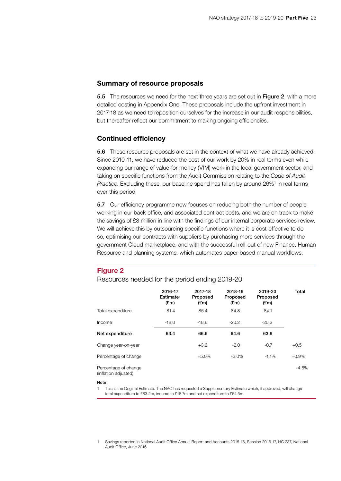#### Summary of resource proposals

5.5 The resources we need for the next three years are set out in Figure 2, with a more detailed costing in Appendix One. These proposals include the upfront investment in 2017-18 as we need to reposition ourselves for the increase in our audit responsibilities, but thereafter reflect our commitment to making ongoing efficiencies.

#### Continued efficiency

5.6 These resource proposals are set in the context of what we have already achieved. Since 2010-11, we have reduced the cost of our work by 20% in real terms even while expanding our range of value-for-money (VfM) work in the local government sector, and taking on specific functions from the Audit Commission relating to the *Code of Audit*  Practice. Excluding these, our baseline spend has fallen by around 26%<sup>1</sup> in real terms over this period.

5.7 Our efficiency programme now focuses on reducing both the number of people working in our back office, and associated contract costs, and we are on track to make the savings of £3 million in line with the findings of our internal corporate services review. We will achieve this by outsourcing specific functions where it is cost-effective to do so, optimising our contracts with suppliers by purchasing more services through the government Cloud marketplace, and with the successful roll-out of new Finance, Human Resource and planning systems, which automates paper-based manual workflows.

#### Figure 2

#### Resources needed for the period ending 2019-20

|                                              | 2016-17<br>Estimate <sup>1</sup><br>E(m) | 2017-18<br>Proposed<br>$(\text{Em})$ | 2018-19<br>Proposed<br>E(m) | 2019-20<br>Proposed<br>$(\text{Em})$ | Total   |
|----------------------------------------------|------------------------------------------|--------------------------------------|-----------------------------|--------------------------------------|---------|
| Total expenditure                            | 81.4                                     | 85.4                                 | 84.8                        | 84.1                                 |         |
| Income                                       | $-18.0$                                  | $-18.8$                              | $-20.2$                     | $-20.2$                              |         |
| Net expenditure                              | 63.4                                     | 66.6                                 | 64.6                        | 63.9                                 |         |
| Change year-on-year                          |                                          | $+3.2$                               | $-2.0$                      | $-0.7$                               | $+0.5$  |
| Percentage of change                         |                                          | $+5.0%$                              | -3.0%                       | $-1.1%$                              | $+0.9%$ |
| Percentage of change<br>(inflation adjusted) |                                          |                                      |                             |                                      | $-4.8%$ |

#### Note

This is the Original Estimate. The NAO has requested a Supplementary Estimate which, if approved, will change total expenditure to £83.2m, income to £18.7m and net expenditure to £64.5m

1 Savings reported in National Audit Office Annual Report and Accounts 2015-16, Session 2016-17, HC 237, National Audit Office, June 2016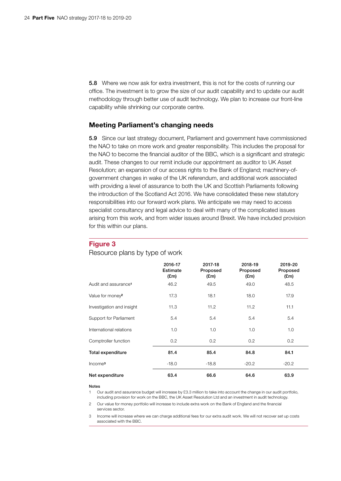5.8 Where we now ask for extra investment, this is not for the costs of running our office. The investment is to grow the size of our audit capability and to update our audit methodology through better use of audit technology. We plan to increase our front-line capability while shrinking our corporate centre.

#### Meeting Parliament's changing needs

5.9 Since our last strategy document, Parliament and government have commissioned the NAO to take on more work and greater responsibility. This includes the proposal for the NAO to become the financial auditor of the BBC, which is a significant and strategic audit. These changes to our remit include our appointment as auditor to UK Asset Resolution; an expansion of our access rights to the Bank of England; machinery-ofgovernment changes in wake of the UK referendum, and additional work associated with providing a level of assurance to both the UK and Scottish Parliaments following the introduction of the Scotland Act 2016. We have consolidated these new statutory responsibilities into our forward work plans. We anticipate we may need to access specialist consultancy and legal advice to deal with many of the complicated issues arising from this work, and from wider issues around Brexit. We have included provision for this within our plans.

#### Figure 3

Resource plans by type of work

|                                  | 2016-17<br>Estimate<br>$(\text{Em})$ | 2017-18<br>Proposed<br>$(\text{Em})$ | 2018-19<br>Proposed<br>(£m) | 2019-20<br>Proposed<br>$(\text{Em})$ |
|----------------------------------|--------------------------------------|--------------------------------------|-----------------------------|--------------------------------------|
| Audit and assurance <sup>1</sup> | 46.2                                 | 49.5                                 | 49.0                        | 48.5                                 |
| Value for money <sup>2</sup>     | 17.3                                 | 18.1                                 | 18.0                        | 17.9                                 |
| Investigation and insight        | 11.3                                 | 11.2                                 | 11.2                        | 11.1                                 |
| Support for Parliament           | 5.4                                  | 5.4                                  | 5.4                         | 5.4                                  |
| International relations          | 1.0                                  | 1.0                                  | 1.0                         | 1.0                                  |
| Comptroller function             | 0.2                                  | 0.2                                  | 0.2                         | 0.2                                  |
| <b>Total expenditure</b>         | 81.4                                 | 85.4                                 | 84.8                        | 84.1                                 |
| Income <sup>3</sup>              | $-18.0$                              | $-18.8$                              | $-20.2$                     | $-20.2$                              |
| Net expenditure                  | 63.4                                 | 66.6                                 | 64.6                        | 63.9                                 |

#### Notes

1 Our audit and assurance budget will increase by £3.3 million to take into account the change in our audit portfolio, including provision for work on the BBC, the UK Asset Resolution Ltd and an investment in audit technology.

Our value for money portfolio will increase to include extra work on the Bank of England and the financial services sector.

3 Income will increase where we can charge additional fees for our extra audit work. We will not recover set up costs associated with the BBC.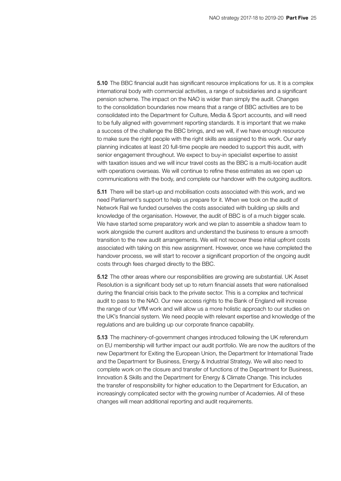5.10 The BBC financial audit has significant resource implications for us. It is a complex international body with commercial activities, a range of subsidiaries and a significant pension scheme. The impact on the NAO is wider than simply the audit. Changes to the consolidation boundaries now means that a range of BBC activities are to be consolidated into the Department for Culture, Media & Sport accounts, and will need to be fully aligned with government reporting standards. It is important that we make a success of the challenge the BBC brings, and we will, if we have enough resource to make sure the right people with the right skills are assigned to this work. Our early planning indicates at least 20 full-time people are needed to support this audit, with senior engagement throughout. We expect to buy-in specialist expertise to assist with taxation issues and we will incur travel costs as the BBC is a multi-location audit with operations overseas. We will continue to refine these estimates as we open up communications with the body, and complete our handover with the outgoing auditors.

5.11 There will be start-up and mobilisation costs associated with this work, and we need Parliament's support to help us prepare for it. When we took on the audit of Network Rail we funded ourselves the costs associated with building up skills and knowledge of the organisation. However, the audit of BBC is of a much bigger scale. We have started some preparatory work and we plan to assemble a shadow team to work alongside the current auditors and understand the business to ensure a smooth transition to the new audit arrangements. We will not recover these initial upfront costs associated with taking on this new assignment. However, once we have completed the handover process, we will start to recover a significant proportion of the ongoing audit costs through fees charged directly to the BBC.

5.12 The other areas where our responsibilities are growing are substantial. UK Asset Resolution is a significant body set up to return financial assets that were nationalised during the financial crisis back to the private sector. This is a complex and technical audit to pass to the NAO. Our new access rights to the Bank of England will increase the range of our VfM work and will allow us a more holistic approach to our studies on the UK's financial system. We need people with relevant expertise and knowledge of the regulations and are building up our corporate finance capability.

5.13 The machinery-of-government changes introduced following the UK referendum on EU membership will further impact our audit portfolio. We are now the auditors of the new Department for Exiting the European Union, the Department for International Trade and the Department for Business, Energy & Industrial Strategy. We will also need to complete work on the closure and transfer of functions of the Department for Business, Innovation & Skills and the Department for Energy & Climate Change. This includes the transfer of responsibility for higher education to the Department for Education, an increasingly complicated sector with the growing number of Academies. All of these changes will mean additional reporting and audit requirements.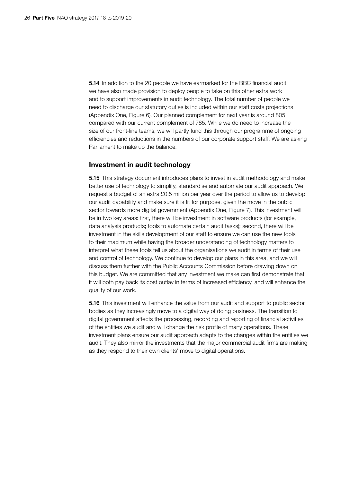5.14 In addition to the 20 people we have earmarked for the BBC financial audit, we have also made provision to deploy people to take on this other extra work and to support improvements in audit technology. The total number of people we need to discharge our statutory duties is included within our staff costs projections (Appendix One, Figure 6). Our planned complement for next year is around 805 compared with our current complement of 785. While we do need to increase the size of our front-line teams, we will partly fund this through our programme of ongoing efficiencies and reductions in the numbers of our corporate support staff. We are asking Parliament to make up the balance.

#### Investment in audit technology

5.15 This strategy document introduces plans to invest in audit methodology and make better use of technology to simplify, standardise and automate our audit approach. We request a budget of an extra £0.5 million per year over the period to allow us to develop our audit capability and make sure it is fit for purpose, given the move in the public sector towards more digital government (Appendix One, Figure 7). This investment will be in two key areas: first, there will be investment in software products (for example, data analysis products; tools to automate certain audit tasks); second, there will be investment in the skills development of our staff to ensure we can use the new tools to their maximum while having the broader understanding of technology matters to interpret what these tools tell us about the organisations we audit in terms of their use and control of technology. We continue to develop our plans in this area, and we will discuss them further with the Public Accounts Commission before drawing down on this budget. We are committed that any investment we make can first demonstrate that it will both pay back its cost outlay in terms of increased efficiency, and will enhance the quality of our work.

5.16 This investment will enhance the value from our audit and support to public sector bodies as they increasingly move to a digital way of doing business. The transition to digital government affects the processing, recording and reporting of financial activities of the entities we audit and will change the risk profile of many operations. These investment plans ensure our audit approach adapts to the changes within the entities we audit. They also mirror the investments that the major commercial audit firms are making as they respond to their own clients' move to digital operations.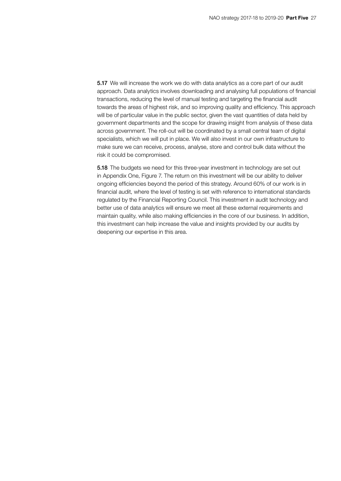5.17 We will increase the work we do with data analytics as a core part of our audit approach. Data analytics involves downloading and analysing full populations of financial transactions, reducing the level of manual testing and targeting the financial audit towards the areas of highest risk, and so improving quality and efficiency. This approach will be of particular value in the public sector, given the vast quantities of data held by government departments and the scope for drawing insight from analysis of these data across government. The roll-out will be coordinated by a small central team of digital specialists, which we will put in place. We will also invest in our own infrastructure to make sure we can receive, process, analyse, store and control bulk data without the risk it could be compromised.

**5.18** The budgets we need for this three-year investment in technology are set out in Appendix One, Figure 7. The return on this investment will be our ability to deliver ongoing efficiencies beyond the period of this strategy. Around 60% of our work is in financial audit, where the level of testing is set with reference to international standards regulated by the Financial Reporting Council. This investment in audit technology and better use of data analytics will ensure we meet all these external requirements and maintain quality, while also making efficiencies in the core of our business. In addition, this investment can help increase the value and insights provided by our audits by deepening our expertise in this area.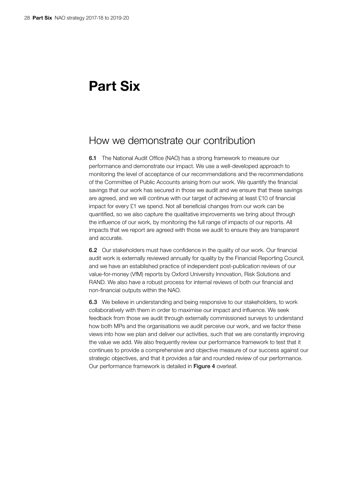## <span id="page-27-0"></span>Part Six

### How we demonstrate our contribution

**6.1** The National Audit Office (NAO) has a strong framework to measure our performance and demonstrate our impact. We use a well-developed approach to monitoring the level of acceptance of our recommendations and the recommendations of the Committee of Public Accounts arising from our work. We quantify the financial savings that our work has secured in those we audit and we ensure that these savings are agreed, and we will continue with our target of achieving at least £10 of financial impact for every £1 we spend. Not all beneficial changes from our work can be quantified, so we also capture the qualitative improvements we bring about through the influence of our work, by monitoring the full range of impacts of our reports. All impacts that we report are agreed with those we audit to ensure they are transparent and accurate.

6.2 Our stakeholders must have confidence in the quality of our work. Our financial audit work is externally reviewed annually for quality by the Financial Reporting Council, and we have an established practice of independent post-publication reviews of our value-for-money (VfM) reports by Oxford University Innovation, Risk Solutions and RAND. We also have a robust process for internal reviews of both our financial and non-financial outputs within the NAO.

6.3 We believe in understanding and being responsive to our stakeholders, to work collaboratively with them in order to maximise our impact and influence. We seek feedback from those we audit through externally commissioned surveys to understand how both MPs and the organisations we audit perceive our work, and we factor these views into how we plan and deliver our activities, such that we are constantly improving the value we add. We also frequently review our performance framework to test that it continues to provide a comprehensive and objective measure of our success against our strategic objectives, and that it provides a fair and rounded review of our performance. Our performance framework is detailed in Figure 4 overleaf.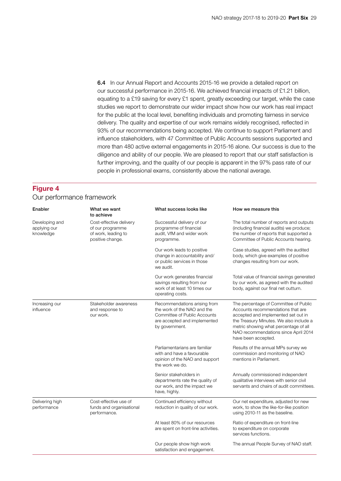6.4 In our Annual Report and Accounts 2015-16 we provide a detailed report on our successful performance in 2015-16. We achieved financial impacts of £1.21 billion, equating to a £19 saving for every £1 spent, greatly exceeding our target, while the case studies we report to demonstrate our wider impact show how our work has real impact for the public at the local level, benefiting individuals and promoting fairness in service delivery. The quality and expertise of our work remains widely recognised, reflected in 93% of our recommendations being accepted. We continue to support Parliament and influence stakeholders, with 47 Committee of Public Accounts sessions supported and more than 480 active external engagements in 2015-16 alone. Our success is due to the diligence and ability of our people. We are pleased to report that our staff satisfaction is further improving, and the quality of our people is apparent in the 97% pass rate of our people in professional exams, consistently above the national average.

#### Figure 4

#### Our performance framework

| Enabler                                     | What we want<br>to achieve                                                             | What success looks like                                                                                                                       | How we measure this                                                                                                                                                                                                                                                  |
|---------------------------------------------|----------------------------------------------------------------------------------------|-----------------------------------------------------------------------------------------------------------------------------------------------|----------------------------------------------------------------------------------------------------------------------------------------------------------------------------------------------------------------------------------------------------------------------|
| Developing and<br>applying our<br>knowledge | Cost-effective delivery<br>of our programme<br>of work, leading to<br>positive change. | Successful delivery of our<br>programme of financial<br>audit, VfM and wider work<br>programme.                                               | The total number of reports and outputs<br>(including financial audits) we produce;<br>the number of reports that supported a<br>Committee of Public Accounts hearing.                                                                                               |
|                                             |                                                                                        | Our work leads to positive<br>change in accountability and/<br>or public services in those<br>we audit.                                       | Case studies, agreed with the audited<br>body, which give examples of positive<br>changes resulting from our work.                                                                                                                                                   |
|                                             |                                                                                        | Our work generates financial<br>savings resulting from our<br>work of at least 10 times our<br>operating costs.                               | Total value of financial savings generated<br>by our work, as agreed with the audited<br>body, against our final net outturn.                                                                                                                                        |
| Increasing our<br>influence                 | Stakeholder awareness<br>and response to<br>our work.                                  | Recommendations arising from<br>the work of the NAO and the<br>Committee of Public Accounts<br>are accepted and implemented<br>by government. | The percentage of Committee of Public<br>Accounts recommendations that are<br>accepted and implemented set out in<br>the Treasury Minutes. We also include a<br>metric showing what percentage of all<br>NAO recommendations since April 2014<br>have been accepted. |
|                                             |                                                                                        | Parliamentarians are familiar<br>with and have a favourable<br>opinion of the NAO and support<br>the work we do.                              | Results of the annual MPs survey we<br>commission and monitoring of NAO<br>mentions in Parliament.                                                                                                                                                                   |
|                                             |                                                                                        | Senior stakeholders in<br>departments rate the quality of<br>our work, and the impact we<br>have, highly.                                     | Annually commissioned independent<br>qualitative interviews with senior civil<br>servants and chairs of audit committees.                                                                                                                                            |
| Delivering high<br>performance              | Cost-effective use of<br>funds and organisational<br>performance.                      | Continued efficiency without<br>reduction in quality of our work.                                                                             | Our net expenditure, adjusted for new<br>work, to show the like-for-like position<br>using 2010-11 as the baseline.                                                                                                                                                  |
|                                             |                                                                                        | At least 80% of our resources<br>are spent on front-line activities.                                                                          | Ratio of expenditure on front-line<br>to expenditure on corporate<br>services functions.                                                                                                                                                                             |
|                                             |                                                                                        | Our people show high work<br>satisfaction and engagement.                                                                                     | The annual People Survey of NAO staff.                                                                                                                                                                                                                               |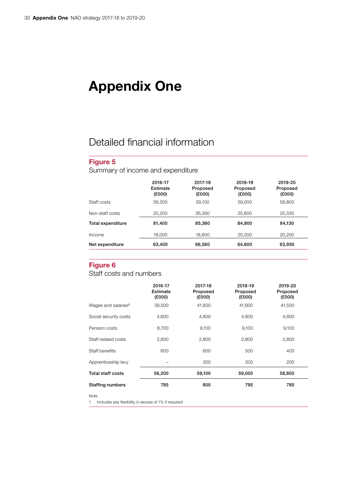## <span id="page-29-0"></span>Appendix One

## Detailed financial information

### Figure 5

Summary of income and expenditure

|                   | 2016-17<br>Estimate<br>(£000) | 2017-18<br>Proposed<br>(£000) | 2018-19<br>Proposed<br>(£000) | 2019-20<br>Proposed<br>(£000) |
|-------------------|-------------------------------|-------------------------------|-------------------------------|-------------------------------|
| Staff costs       | 56,200                        | 59.100                        | 59,000                        | 58,800                        |
| Non-staff costs   | 25,200                        | 26,260                        | 25,800                        | 25,330                        |
| Total expenditure | 81.400                        | 85.360                        | 84.800                        | 84.130                        |
| Income            | 18,000                        | 18,800                        | 20,200                        | 20,200                        |
| Net expenditure   | 63,400                        | 66,560                        | 64,600                        | 63,930                        |

#### Figure 6

Staff costs and numbers

|                                 | 2016-17<br>Estimate<br>(£000) | 2017-18<br>Proposed<br>(£000) | 2018-19<br>Proposed<br>(£000) | 2019-20<br>Proposed<br>(£000) |
|---------------------------------|-------------------------------|-------------------------------|-------------------------------|-------------------------------|
| Wages and salaries <sup>1</sup> | 39,500                        | 41,600                        | 41,600                        | 41,500                        |
| Social security costs           | 4.600                         | 4,800                         | 4,800                         | 4,800                         |
| Pension costs                   | 8,700                         | 9,100                         | 9,100                         | 9,100                         |
| Staff-related costs             | 2.800                         | 2,800                         | 2,800                         | 2,800                         |
| Staff benefits                  | 600                           | 600                           | 500                           | 400                           |
| Apprenticeship levy             |                               | 200                           | 200                           | 200                           |
| <b>Total staff costs</b>        | 56,200                        | 59,100                        | 59,000                        | 58,800                        |
| <b>Staffing numbers</b>         | 785                           | 805                           | 795                           | 785                           |

Note

1 Includes pay flexibility in excess of 1% if required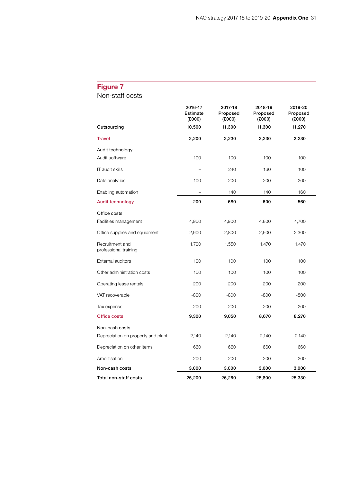## Figure 7

Non-staff costs

|                                          | 2016-17<br>Estimate<br>(E000) | 2017-18<br>Proposed<br>(E000) | 2018-19<br>Proposed<br>(E000) | 2019-20<br>Proposed<br>(E000) |
|------------------------------------------|-------------------------------|-------------------------------|-------------------------------|-------------------------------|
| Outsourcing                              | 10,500                        | 11,300                        | 11,300                        | 11,270                        |
| <b>Travel</b>                            | 2,200                         | 2,230                         | 2,230                         | 2,230                         |
| Audit technology                         |                               |                               |                               |                               |
| Audit software                           | 100                           | 100                           | 100                           | 100                           |
| IT audit skills                          |                               | 240                           | 160                           | 100                           |
| Data analytics                           | 100                           | 200                           | 200                           | 200                           |
| Enabling automation                      |                               | 140                           | 140                           | 160                           |
| Audit technology                         | 200                           | 680                           | 600                           | 560                           |
| Office costs                             |                               |                               |                               |                               |
| Facilities management                    | 4,900                         | 4,900                         | 4,800                         | 4,700                         |
| Office supplies and equipment            | 2,900                         | 2,800                         | 2,600                         | 2,300                         |
| Recruitment and<br>professional training | 1,700                         | 1,550                         | 1,470                         | 1,470                         |
| External auditors                        | 100                           | 100                           | 100                           | 100                           |
| Other administration costs               | 100                           | 100                           | 100                           | 100                           |
| Operating lease rentals                  | 200                           | 200                           | 200                           | 200                           |
| VAT recoverable                          | $-800$                        | $-800$                        | $-800$                        | $-800$                        |
| Tax expense                              | 200                           | 200                           | 200                           | 200                           |
| <b>Office costs</b>                      | 9,300                         | 9,050                         | 8,670                         | 8,270                         |
| Non-cash costs                           |                               |                               |                               |                               |
| Depreciation on property and plant       | 2,140                         | 2,140                         | 2,140                         | 2,140                         |
| Depreciation on other items              | 660                           | 660                           | 660                           | 660                           |
| Amortisation                             | 200                           | 200                           | 200                           | 200                           |
| Non-cash costs                           | 3,000                         | 3,000                         | 3,000                         | 3,000                         |
| Total non-staff costs                    | 25,200                        | 26,260                        | 25,800                        | 25,330                        |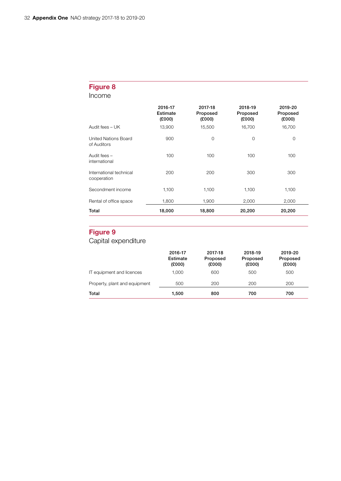### Figure 8

Income

|                                            | 2016-17<br>Estimate<br>(£000) | 2017-18<br>Proposed<br>(E000) | 2018-19<br>Proposed<br>(E000) | 2019-20<br>Proposed<br>(E000) |
|--------------------------------------------|-------------------------------|-------------------------------|-------------------------------|-------------------------------|
| Audit fees $-$ UK                          | 13,900                        | 15,500                        | 16,700                        | 16,700                        |
| <b>United Nations Board</b><br>of Auditors | 900                           | 0                             | $\mathbf 0$                   | $\mathbf 0$                   |
| Audit fees -<br>international              | 100                           | 100                           | 100                           | 100                           |
| International technical<br>cooperation     | 200                           | 200                           | 300                           | 300                           |
| Secondment income                          | 1,100                         | 1,100                         | 1,100                         | 1,100                         |
| Rental of office space                     | 1,800                         | 1,900                         | 2,000                         | 2,000                         |
| Total                                      | 18,000                        | 18,800                        | 20,200                        | 20,200                        |

### Figure 9

Capital expenditure

|                               | 2016-17<br>Estimate<br>(£000) | 2017-18<br>Proposed<br>(£000) | 2018-19<br>Proposed<br>(£000) | 2019-20<br>Proposed<br>(E000) |
|-------------------------------|-------------------------------|-------------------------------|-------------------------------|-------------------------------|
| IT equipment and licences     | 1.000                         | 600                           | 500                           | 500                           |
| Property, plant and equipment | 500                           | 200                           | 200                           | 200                           |
| Total                         | 1.500                         | 800                           | 700                           | 700                           |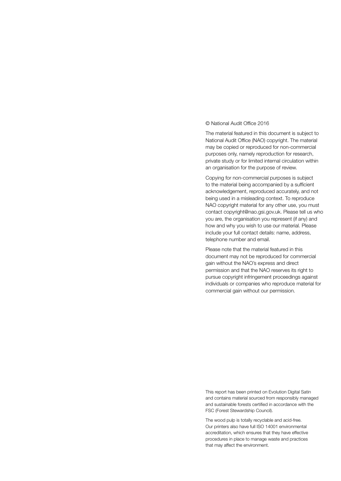#### © National Audit Office 2016

The material featured in this document is subject to National Audit Office (NAO) copyright. The material may be copied or reproduced for non-commercial purposes only, namely reproduction for research, private study or for limited internal circulation within an organisation for the purpose of review.

Copying for non-commercial purposes is subject to the material being accompanied by a sufficient acknowledgement, reproduced accurately, and not being used in a misleading context. To reproduce NAO copyright material for any other use, you must contact copyright@nao.gsi.gov.uk. Please tell us who you are, the organisation you represent (if any) and how and why you wish to use our material. Please include your full contact details: name, address, telephone number and email.

Please note that the material featured in this document may not be reproduced for commercial gain without the NAO's express and direct permission and that the NAO reserves its right to pursue copyright infringement proceedings against individuals or companies who reproduce material for commercial gain without our permission.

This report has been printed on Evolution Digital Satin and contains material sourced from responsibly managed and sustainable forests certified in accordance with the FSC (Forest Stewardship Council).

The wood pulp is totally recyclable and acid-free. Our printers also have full ISO 14001 environmental accreditation, which ensures that they have effective procedures in place to manage waste and practices that may affect the environment.